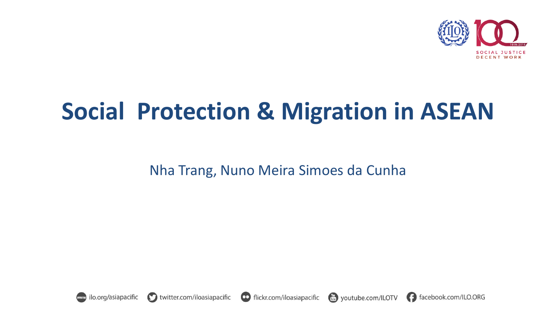

#### **Social Protection & Migration in ASEAN**

Nha Trang, Nuno Meira Simoes da Cunha



facebook.com/ILO.ORG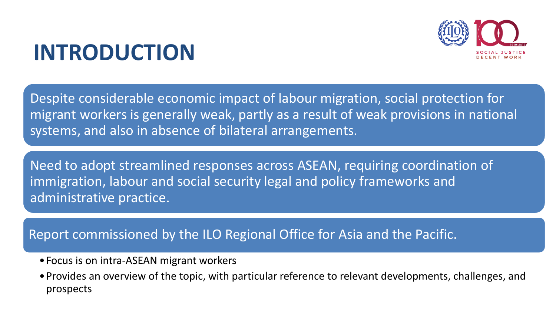#### **INTRODUCTION**

Despite considerable economic impact of labour migration, social protection for migrant workers is generally weak, partly as a result of weak provisions in national systems, and also in absence of bilateral arrangements.

Need to adopt streamlined responses across ASEAN, requiring coordination of immigration, labour and social security legal and policy frameworks and administrative practice.

#### Report commissioned by the ILO Regional Office for Asia and the Pacific.

- •Focus is on intra-ASEAN migrant workers
- •Provides an overview of the topic, with particular reference to relevant developments, challenges, and prospects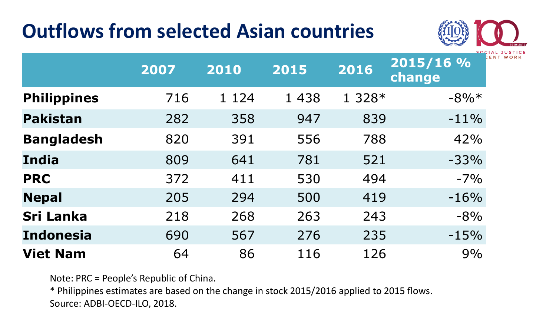#### **Outflows from selected Asian countries**



|                    | 2007 | 2010    | 2015    | 2016    | $2015/16$ %<br>change |
|--------------------|------|---------|---------|---------|-----------------------|
| <b>Philippines</b> | 716  | 1 1 2 4 | 1 4 3 8 | $1328*$ | $-8\%*$               |
| <b>Pakistan</b>    | 282  | 358     | 947     | 839     | $-11%$                |
| <b>Bangladesh</b>  | 820  | 391     | 556     | 788     | 42%                   |
| <b>India</b>       | 809  | 641     | 781     | 521     | $-33%$                |
| <b>PRC</b>         | 372  | 411     | 530     | 494     | $-7%$                 |
| <b>Nepal</b>       | 205  | 294     | 500     | 419     | $-16%$                |
| <b>Sri Lanka</b>   | 218  | 268     | 263     | 243     | $-8%$                 |
| <b>Indonesia</b>   | 690  | 567     | 276     | 235     | $-15%$                |
| <b>Viet Nam</b>    | 64   | 86      | 116     | 126     | 9%                    |

Note: PRC = People's Republic of China.

\* Philippines estimates are based on the change in stock 2015/2016 applied to 2015 flows. Source: ADBI-OECD-ILO, 2018.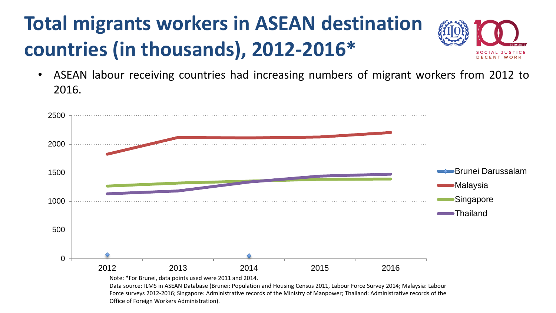#### **Total migrants workers in ASEAN destination countries (in thousands), 2012-2016\***



• ASEAN labour receiving countries had increasing numbers of migrant workers from 2012 to 2016.

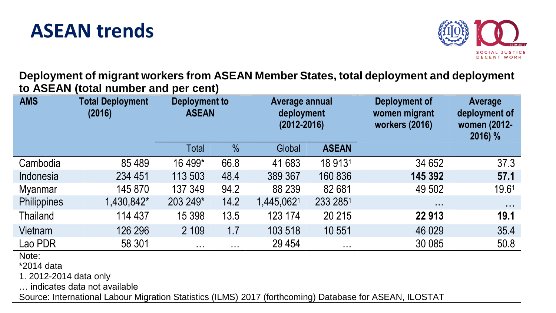#### **ASEAN trends**



**Deployment of migrant workers from ASEAN Member States, total deployment and deployment to ASEAN (total number and per cent)**

| <b>AMS</b>      | <b>Total Deployment</b><br>(2016) | Deployment to<br><b>ASEAN</b> |                      | Average annual<br>deployment<br>$(2012 - 2016)$ |              | Deployment of<br>women migrant<br>workers (2016) | Average<br>deployment of<br>women (2012-<br>2016) % |
|-----------------|-----------------------------------|-------------------------------|----------------------|-------------------------------------------------|--------------|--------------------------------------------------|-----------------------------------------------------|
|                 |                                   | <b>Total</b>                  | $\frac{9}{6}$        | Global                                          | <b>ASEAN</b> |                                                  |                                                     |
| Cambodia        | 85 4 89                           | 16 499*                       | 66.8                 | 41 683                                          | 18 9131      | 34 652                                           | 37.3                                                |
| Indonesia       | 234 451                           | 113 503                       | 48.4                 | 389 367                                         | 160 836      | 145 392                                          | 57.1                                                |
| <b>Myanmar</b>  | 145 870                           | 137 349                       | 94.2                 | 88 239                                          | 82 681       | 49 502                                           | 19.61                                               |
| Philippines     | 1,430,842*                        | 203 249*                      | 14.2                 | 1,445,0621                                      | 233 2851     | $\sim$ $\sim$ $\sim$                             | $\sim 100$                                          |
| <b>Thailand</b> | 114 437                           | 15 3 98                       | 13.5                 | 123 174                                         | 20 215       | 22 913                                           | 19.1                                                |
| Vietnam         | 126 296                           | 2 109                         | 1.7                  | 103 518                                         | 10 551       | 46 0 29                                          | 35.4                                                |
| Lao PDR         | 58 301                            | $\sim$ $\sim$ $\sim$          | $\sim$ $\sim$ $\sim$ | 29 4 54                                         | $\sim 100$   | 30 085                                           | 50.8                                                |

Note:

\*2014 data

1. 2012-2014 data only

… indicates data not available

Source: International Labour Migration Statistics (ILMS) 2017 (forthcoming) Database for ASEAN, ILOSTAT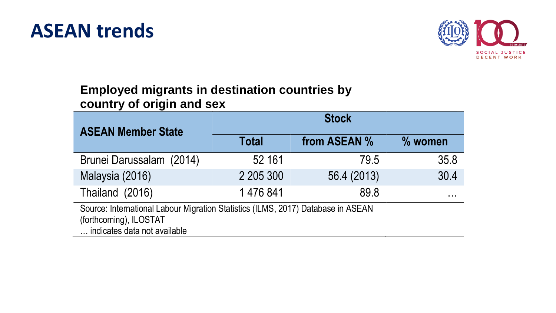



#### **Employed migrants in destination countries by country of origin and sex**

| <b>ASEAN Member State</b>                                                                                                                  | <b>Stock</b> |              |           |  |  |  |  |
|--------------------------------------------------------------------------------------------------------------------------------------------|--------------|--------------|-----------|--|--|--|--|
|                                                                                                                                            | <b>Total</b> | from ASEAN % | $%$ women |  |  |  |  |
| Brunei Darussalam (2014)                                                                                                                   | 52 161       | 79.5         | 35.8      |  |  |  |  |
| Malaysia (2016)                                                                                                                            | 2 205 300    | 56.4 (2013)  | 30.4      |  |  |  |  |
| Thailand (2016)                                                                                                                            | 1476841      | 89.8         | $\cdots$  |  |  |  |  |
| Source: International Labour Migration Statistics (ILMS, 2017) Database in ASEAN<br>(forthcoming), ILOSTAT<br>indicates data not available |              |              |           |  |  |  |  |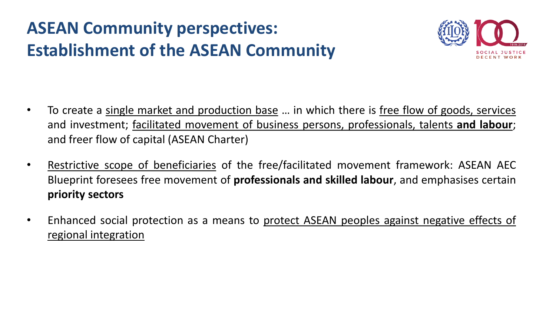#### **ASEAN Community perspectives: Establishment of the ASEAN Community**



- To create a single market and production base … in which there is free flow of goods, services and investment; facilitated movement of business persons, professionals, talents **and labour**; and freer flow of capital (ASEAN Charter)
- Restrictive scope of beneficiaries of the free/facilitated movement framework: ASEAN AEC Blueprint foresees free movement of **professionals and skilled labour**, and emphasises certain **priority sectors**
- Enhanced social protection as a means to protect ASEAN peoples against negative effects of regional integration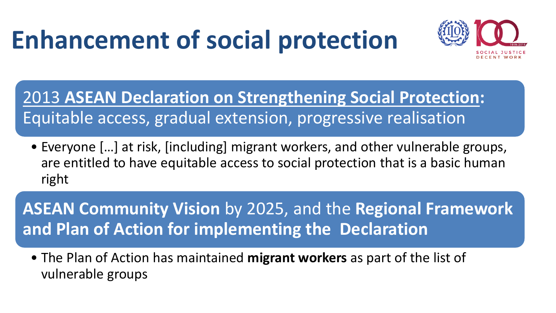#### **Enhancement of social protection**



2013 **ASEAN Declaration on Strengthening Social Protection:**  Equitable access, gradual extension, progressive realisation

• Everyone […] at risk, [including] migrant workers, and other vulnerable groups, are entitled to have equitable access to social protection that is a basic human right

**ASEAN Community Vision** by 2025, and the **Regional Framework and Plan of Action for implementing the Declaration**

• The Plan of Action has maintained **migrant workers** as part of the list of vulnerable groups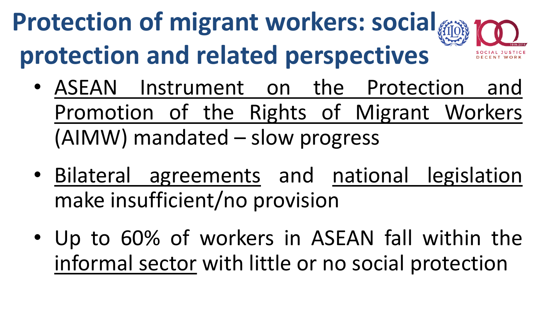#### **Protection of migrant workers: social protection and related perspectives**

- ASEAN Instrument on the Protection and Promotion of the Rights of Migrant Workers (AIMW) mandated – slow progress
- Bilateral agreements and national legislation make insufficient/no provision
- Up to 60% of workers in ASEAN fall within the informal sector with little or no social protection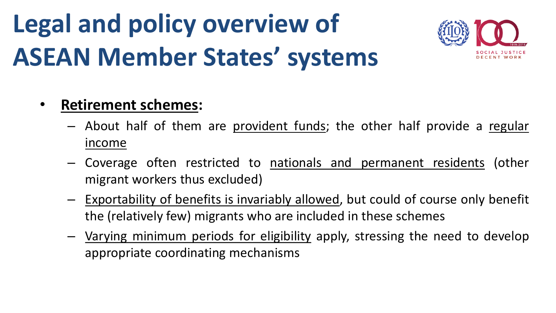#### **Legal and policy overview of ASEAN Member States' systems**



#### • **Retirement schemes:**

- About half of them are provident funds; the other half provide a regular income
- Coverage often restricted to nationals and permanent residents (other migrant workers thus excluded)
- Exportability of benefits is invariably allowed, but could of course only benefit the (relatively few) migrants who are included in these schemes
- Varying minimum periods for eligibility apply, stressing the need to develop appropriate coordinating mechanisms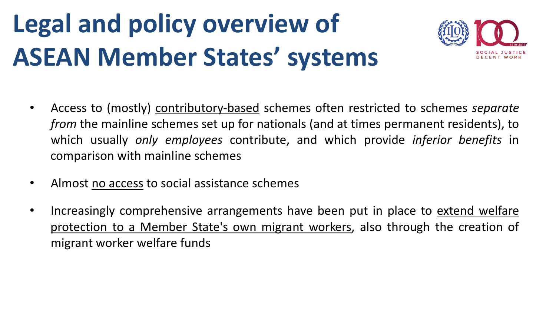### **Legal and policy overview of ASEAN Member States' systems**



- Access to (mostly) contributory-based schemes often restricted to schemes *separate from* the mainline schemes set up for nationals (and at times permanent residents), to which usually *only employees* contribute, and which provide *inferior benefits* in comparison with mainline schemes
- Almost no access to social assistance schemes
- Increasingly comprehensive arrangements have been put in place to extend welfare protection to a Member State's own migrant workers, also through the creation of migrant worker welfare funds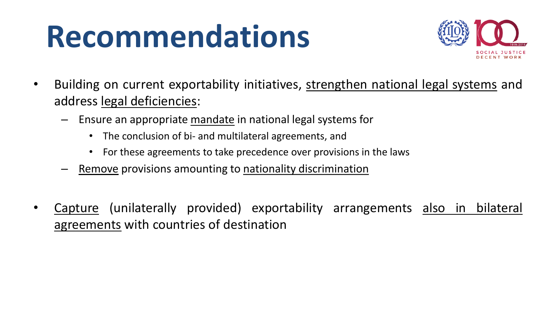

- Building on current exportability initiatives, strengthen national legal systems and address legal deficiencies:
	- Ensure an appropriate mandate in national legal systems for
		- The conclusion of bi- and multilateral agreements, and
		- For these agreements to take precedence over provisions in the laws
	- Remove provisions amounting to nationality discrimination
- Capture (unilaterally provided) exportability arrangements also in bilateral agreements with countries of destination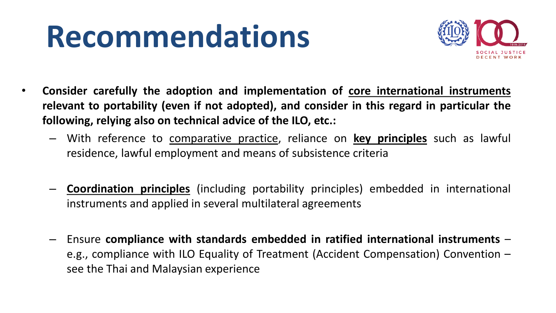

- **Consider carefully the adoption and implementation of core international instruments relevant to portability (even if not adopted), and consider in this regard in particular the following, relying also on technical advice of the ILO, etc.:**
	- With reference to comparative practice, reliance on **key principles** such as lawful residence, lawful employment and means of subsistence criteria
	- **Coordination principles** (including portability principles) embedded in international instruments and applied in several multilateral agreements
	- Ensure **compliance with standards embedded in ratified international instruments** e.g., compliance with ILO Equality of Treatment (Accident Compensation) Convention – see the Thai and Malaysian experience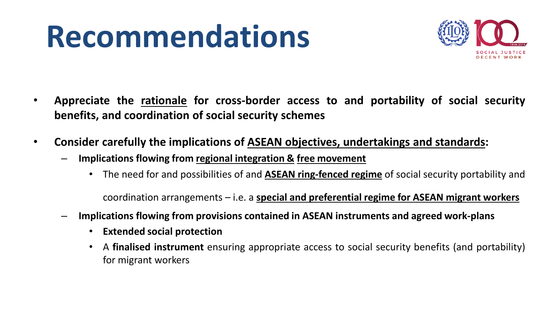

- **Appreciate the rationale for cross-border access to and portability of social security benefits, and coordination of social security schemes**
- **Consider carefully the implications of ASEAN objectives, undertakings and standards:**
	- **Implications flowing from regional integration & free movement**
		- The need for and possibilities of and **ASEAN ring-fenced regime** of social security portability and

coordination arrangements – i.e. a **special and preferential regime for ASEAN migrant workers**

- **Implications flowing from provisions contained in ASEAN instruments and agreed work-plans**
	- **Extended social protection**
	- A **finalised instrument** ensuring appropriate access to social security benefits (and portability) for migrant workers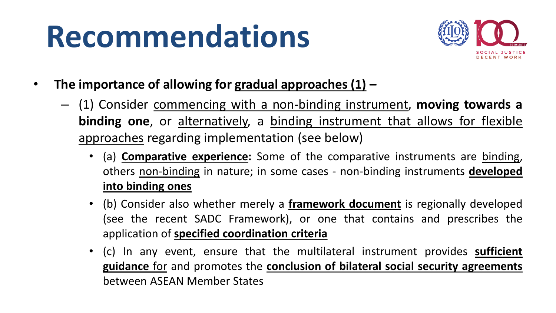

- **The importance of allowing for gradual approaches (1) –**
	- (1) Consider commencing with a non-binding instrument, **moving towards a binding one**, or alternatively, a binding instrument that allows for flexible approaches regarding implementation (see below)
		- (a) **Comparative experience:** Some of the comparative instruments are binding, others non-binding in nature; in some cases - non-binding instruments **developed into binding ones**
		- (b) Consider also whether merely a **framework document** is regionally developed (see the recent SADC Framework), or one that contains and prescribes the application of **specified coordination criteria**
		- (c) In any event, ensure that the multilateral instrument provides **sufficient guidance** for and promotes the **conclusion of bilateral social security agreements** between ASEAN Member States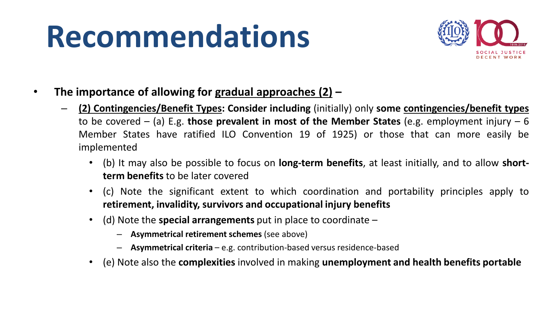

- **The importance of allowing for gradual approaches (2) –**
	- **(2) Contingencies/Benefit Types: Consider including** (initially) only **some contingencies/benefit types** to be covered – (a) E.g. **those prevalent in most of the Member States** (e.g. employment injury – 6 Member States have ratified ILO Convention 19 of 1925) or those that can more easily be implemented
		- (b) It may also be possible to focus on **long-term benefits**, at least initially, and to allow **shortterm benefits** to be later covered
		- (c) Note the significant extent to which coordination and portability principles apply to **retirement, invalidity, survivors and occupational injury benefits**
		- (d) Note the **special arrangements** put in place to coordinate
			- **Asymmetrical retirement schemes** (see above)
			- **Asymmetrical criteria** e.g. contribution-based versus residence-based
		- (e) Note also the **complexities** involved in making **unemployment and health benefits portable**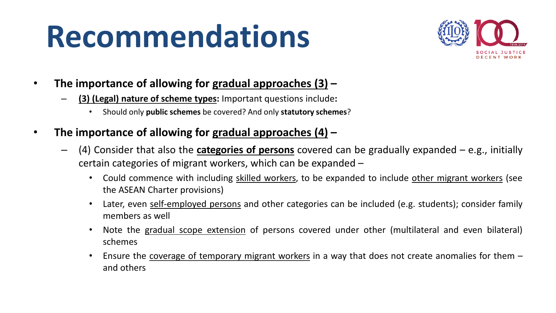

- **The importance of allowing for gradual approaches (3) –**
	- **(3) (Legal) nature of scheme types:** Important questions include**:**
		- Should only **public schemes** be covered? And only **statutory schemes**?
- **The importance of allowing for gradual approaches (4) –**
	- (4) Consider that also the **categories of persons** covered can be gradually expanded e.g., initially certain categories of migrant workers, which can be expanded –
		- Could commence with including skilled workers, to be expanded to include other migrant workers (see the ASEAN Charter provisions)
		- Later, even self-employed persons and other categories can be included (e.g. students); consider family members as well
		- Note the gradual scope extension of persons covered under other (multilateral and even bilateral) schemes
		- Ensure the coverage of temporary migrant workers in a way that does not create anomalies for them and others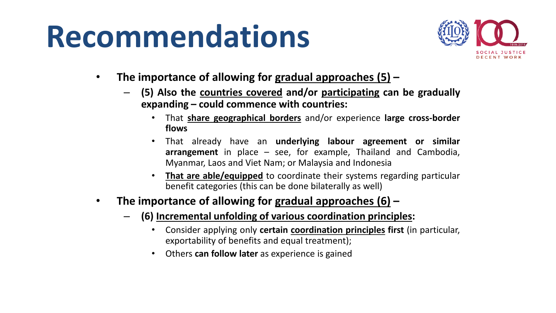

- **The importance of allowing for gradual approaches (5) –**
	- **(5) Also the countries covered and/or participating can be gradually expanding – could commence with countries:**
		- That **share geographical borders** and/or experience **large cross-border flows**
		- That already have an **underlying labour agreement or similar arrangement** in place – see, for example, Thailand and Cambodia, Myanmar, Laos and Viet Nam; or Malaysia and Indonesia
		- **That are able/equipped** to coordinate their systems regarding particular benefit categories (this can be done bilaterally as well)

#### • **The importance of allowing for gradual approaches (6) –**

- **(6) Incremental unfolding of various coordination principles:**
	- Consider applying only **certain coordination principles first** (in particular, exportability of benefits and equal treatment);
	- Others **can follow later** as experience is gained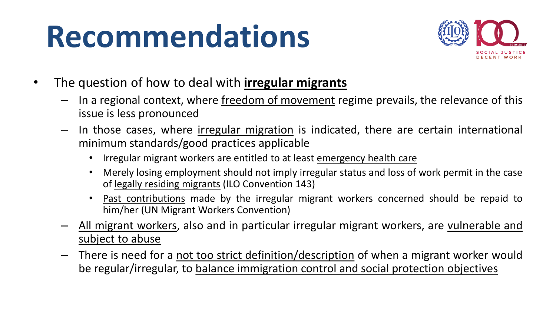

- The question of how to deal with **irregular migrants**
	- In a regional context, where freedom of movement regime prevails, the relevance of this issue is less pronounced
	- In those cases, where irregular migration is indicated, there are certain international minimum standards/good practices applicable
		- Irregular migrant workers are entitled to at least emergency health care
		- Merely losing employment should not imply irregular status and loss of work permit in the case of legally residing migrants (ILO Convention 143)
		- Past contributions made by the irregular migrant workers concerned should be repaid to him/her (UN Migrant Workers Convention)
	- All migrant workers, also and in particular irregular migrant workers, are vulnerable and subject to abuse
	- There is need for a not too strict definition/description of when a migrant worker would be regular/irregular, to balance immigration control and social protection objectives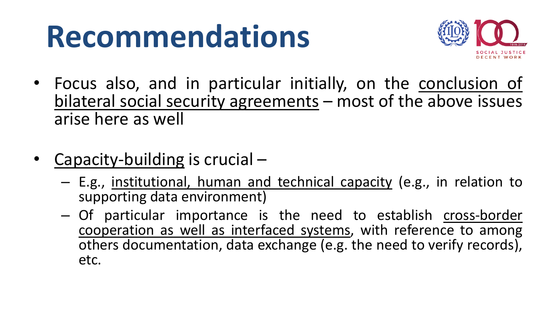

- Focus also, and in particular initially, on the conclusion of bilateral social security agreements – most of the above issues arise here as well
- Capacity-building is crucial
	- E.g., institutional, human and technical capacity (e.g., in relation to supporting data environment)
	- Of particular importance is the need to establish cross-border cooperation as well as interfaced systems, with reference to among others documentation, data exchange (e.g. the need to verify records), etc.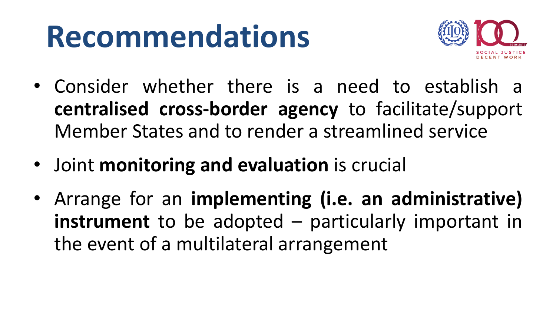

- Consider whether there is a need to establish a **centralised cross-border agency** to facilitate/support Member States and to render a streamlined service
- Joint **monitoring and evaluation** is crucial
- Arrange for an **implementing (i.e. an administrative) instrument** to be adopted – particularly important in the event of a multilateral arrangement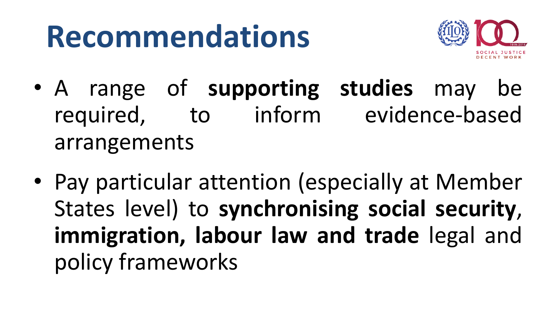

- A range of **supporting studies** may be required, to inform evidence-based arrangements
- Pay particular attention (especially at Member States level) to **synchronising social security**, **immigration, labour law and trade** legal and policy frameworks